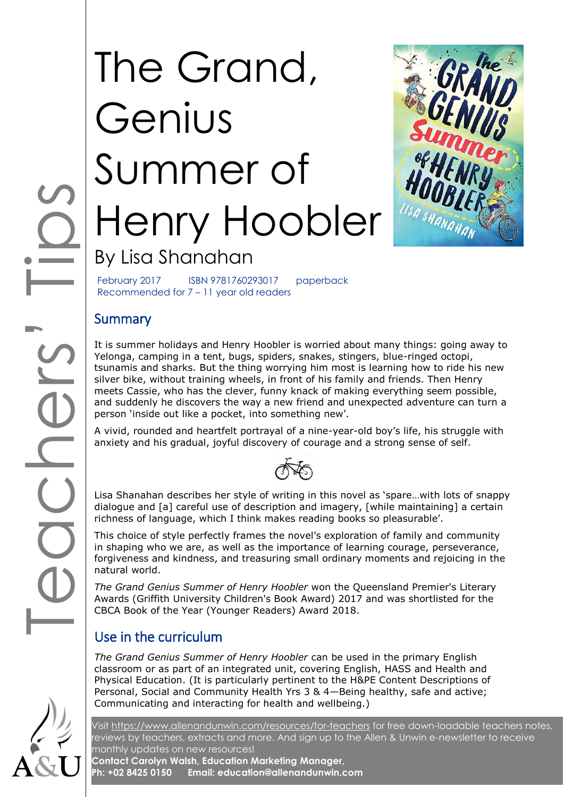# The Grand, Genius Summer of Henry Hoobler



By Lisa Shanahan

February 2017 ISBN 9781760293017 paperback Recommended for 7 – 11 year old readers

#### **Summary**

It is summer holidays and Henry Hoobler is worried about many things: going away to Yelonga, camping in a tent, bugs, spiders, snakes, stingers, blue-ringed octopi, tsunamis and sharks. But the thing worrying him most is learning how to ride his new silver bike, without training wheels, in front of his family and friends. Then Henry meets Cassie, who has the clever, funny knack of making everything seem possible, and suddenly he discovers the way a new friend and unexpected adventure can turn a person 'inside out like a pocket, into something new'.

A vivid, rounded and heartfelt portrayal of a nine-year-old boy's life, his struggle with anxiety and his gradual, joyful discovery of courage and a strong sense of self.

Lisa Shanahan describes her style of writing in this novel as 'spare…with lots of snappy dialogue and [a] careful use of description and imagery, [while maintaining] a certain richness of language, which I think makes reading books so pleasurable'.

This choice of style perfectly frames the novel's exploration of family and community in shaping who we are, as well as the importance of learning courage, perseverance, forgiveness and kindness, and treasuring small ordinary moments and rejoicing in the natural world.

*The Grand Genius Summer of Henry Hoobler* won the Queensland Premier's Literary Awards (Griffith University Children's Book Award) 2017 and was shortlisted for the CBCA Book of the Year (Younger Readers) Award 2018.

### Use in the curriculum

*The Grand Genius Summer of Henry Hoobler* can be used in the primary English classroom or as part of an integrated unit, covering English, HASS and Health and Physical Education. (It is particularly pertinent to the H&PE Content Descriptions of Personal, Social and Community Health Yrs 3 & 4—Being healthy, safe and active; Communicating and interacting for health and wellbeing.)

Visit<https://www.allenandunwin.com/resources/for-teachers> for free down-loadable teachers notes, reviews by teachers, extracts and more. And sign up to the Allen & Unwin e-newsletter to receive monthly updates on new resources!

**Contact Carolyn Walsh, Education Marketing Manager, Ph: +02 8425 0150 Email: education@allenandunwin.com**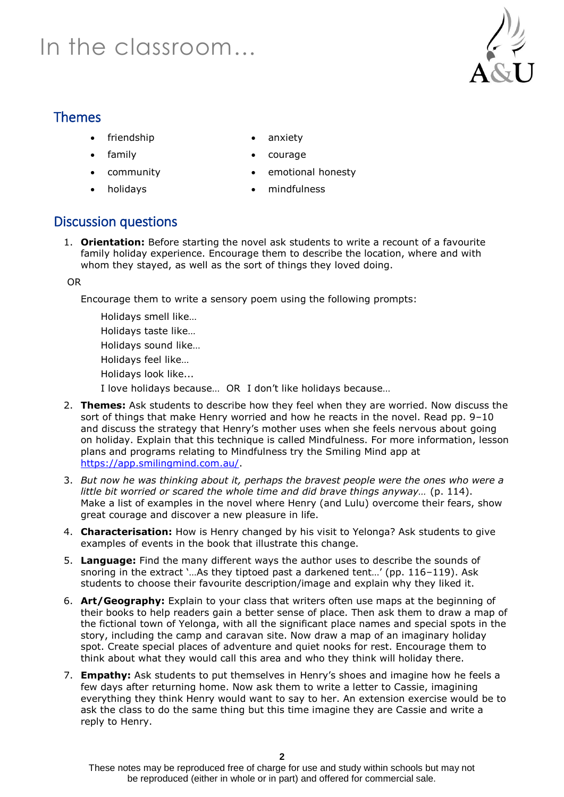## In the classroom…



#### Themes

- friendship
- family
- community
- holidays
- anxiety
- courage
- emotional honesty
- mindfulness

#### Discussion questions

1. **Orientation:** Before starting the novel ask students to write a recount of a favourite family holiday experience. Encourage them to describe the location, where and with whom they stayed, as well as the sort of things they loved doing.

#### OR

Encourage them to write a sensory poem using the following prompts:

Holidays smell like… Holidays taste like… Holidays sound like… Holidays feel like… Holidays look like... I love holidays because… OR I don't like holidays because…

- 2. **Themes:** Ask students to describe how they feel when they are worried. Now discuss the sort of things that make Henry worried and how he reacts in the novel. Read pp. 9–10 and discuss the strategy that Henry's mother uses when she feels nervous about going on holiday. Explain that this technique is called Mindfulness. For more information, lesson plans and programs relating to Mindfulness try the Smiling Mind app at [https://app.smilingmind.com.au/.](https://app.smilingmind.com.au/)
- 3. *But now he was thinking about it, perhaps the bravest people were the ones who were a little bit worried or scared the whole time and did brave things anyway…* (p. 114). Make a list of examples in the novel where Henry (and Lulu) overcome their fears, show great courage and discover a new pleasure in life.
- 4. **Characterisation:** How is Henry changed by his visit to Yelonga? Ask students to give examples of events in the book that illustrate this change.
- 5. **Language:** Find the many different ways the author uses to describe the sounds of snoring in the extract '…As they tiptoed past a darkened tent…' (pp. 116–119). Ask students to choose their favourite description/image and explain why they liked it.
- 6. **Art/Geography:** Explain to your class that writers often use maps at the beginning of their books to help readers gain a better sense of place. Then ask them to draw a map of the fictional town of Yelonga, with all the significant place names and special spots in the story, including the camp and caravan site. Now draw a map of an imaginary holiday spot. Create special places of adventure and quiet nooks for rest. Encourage them to think about what they would call this area and who they think will holiday there.
- 7. **Empathy:** Ask students to put themselves in Henry's shoes and imagine how he feels a few days after returning home. Now ask them to write a letter to Cassie, imagining everything they think Henry would want to say to her. An extension exercise would be to ask the class to do the same thing but this time imagine they are Cassie and write a reply to Henry.

These notes may be reproduced free of charge for use and study within schools but may not be reproduced (either in whole or in part) and offered for commercial sale.